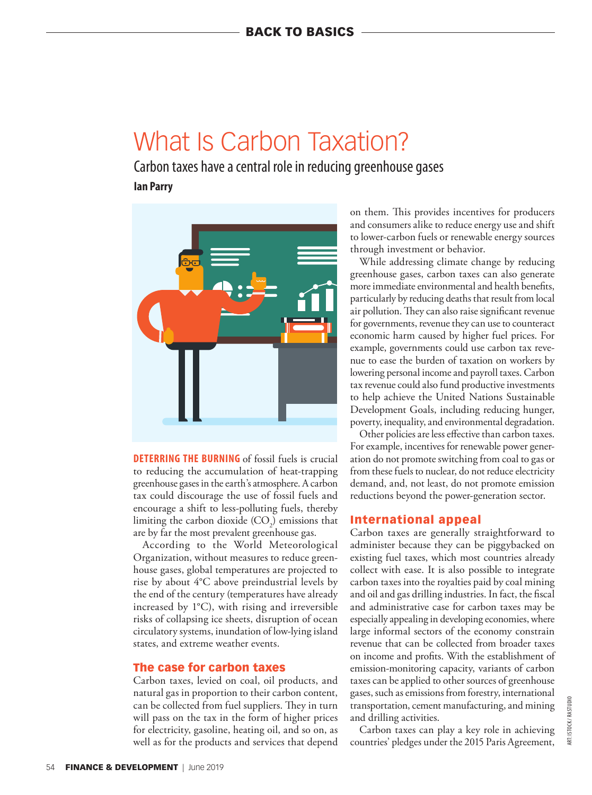# What Is Carbon Taxation?

Carbon taxes have a central role in reducing greenhouse gases **Ian Parry**



**DETERRING THE BURNING** of fossil fuels is crucial to reducing the accumulation of heat-trapping greenhouse gases in the earth's atmosphere. A carbon tax could discourage the use of fossil fuels and encourage a shift to less-polluting fuels, thereby limiting the carbon dioxide  $(CO_2)$  emissions that are by far the most prevalent greenhouse gas.

According to the World Meteorological Organization, without measures to reduce greenhouse gases, global temperatures are projected to rise by about 4°C above preindustrial levels by the end of the century (temperatures have already increased by 1°C), with rising and irreversible risks of collapsing ice sheets, disruption of ocean circulatory systems, inundation of low-lying island states, and extreme weather events.

## The case for carbon taxes

Carbon taxes, levied on coal, oil products, and natural gas in proportion to their carbon content, can be collected from fuel suppliers. They in turn will pass on the tax in the form of higher prices for electricity, gasoline, heating oil, and so on, as well as for the products and services that depend on them. This provides incentives for producers and consumers alike to reduce energy use and shift to lower-carbon fuels or renewable energy sources through investment or behavior.

While addressing climate change by reducing greenhouse gases, carbon taxes can also generate more immediate environmental and health benefits, particularly by reducing deaths that result from local air pollution. They can also raise significant revenue for governments, revenue they can use to counteract economic harm caused by higher fuel prices. For example, governments could use carbon tax revenue to ease the burden of taxation on workers by lowering personal income and payroll taxes. Carbon tax revenue could also fund productive investments to help achieve the United Nations Sustainable Development Goals, including reducing hunger, poverty, inequality, and environmental degradation.

Other policies are less effective than carbon taxes. For example, incentives for renewable power generation do not promote switching from coal to gas or from these fuels to nuclear, do not reduce electricity demand, and, not least, do not promote emission reductions beyond the power-generation sector.

### International appeal

Carbon taxes are generally straightforward to administer because they can be piggybacked on existing fuel taxes, which most countries already collect with ease. It is also possible to integrate carbon taxes into the royalties paid by coal mining and oil and gas drilling industries. In fact, the fiscal and administrative case for carbon taxes may be especially appealing in developing economies, where large informal sectors of the economy constrain revenue that can be collected from broader taxes on income and profits. With the establishment of emission-monitoring capacity, variants of carbon taxes can be applied to other sources of greenhouse gases, such as emissions from forestry, international transportation, cement manufacturing, and mining and drilling activities.

Carbon taxes can play a key role in achieving countries' pledges under the 2015 Paris Agreement,